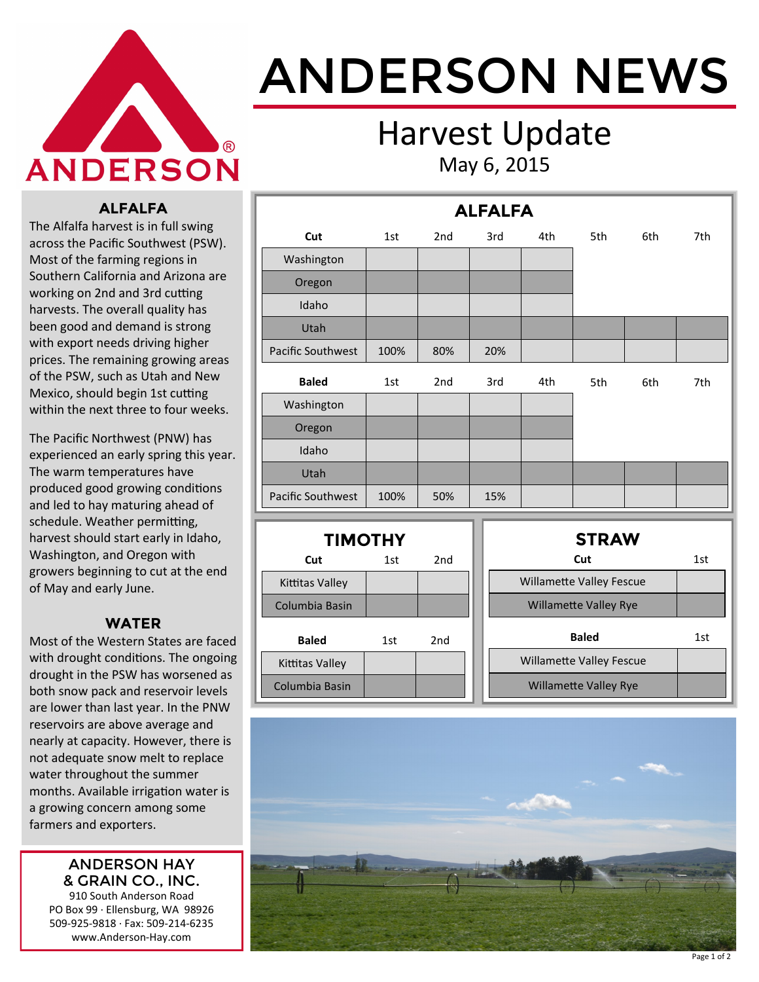

# ANDERSON NEWS

### Harvest Update May 6, 2015

#### **ALFALFA**

The Alfalfa harvest is in full swing across the Pacific Southwest (PSW). Most of the farming regions in Southern California and Arizona are working on 2nd and 3rd cutting harvests. The overall quality has been good and demand is strong with export needs driving higher prices. The remaining growing areas of the PSW, such as Utah and New Mexico, should begin 1st cutting within the next three to four weeks.

The Pacific Northwest (PNW) has experienced an early spring this year. The warm temperatures have produced good growing conditions and led to hay maturing ahead of schedule. Weather permitting, harvest should start early in Idaho, Washington, and Oregon with growers beginning to cut at the end of May and early June.

#### **WATER**

Most of the Western States are faced with drought conditions. The ongoing drought in the PSW has worsened as both snow pack and reservoir levels are lower than last year. In the PNW reservoirs are above average and nearly at capacity. However, there is not adequate snow melt to replace water throughout the summer months. Available irrigation water is a growing concern among some farmers and exporters.

#### ANDERSON HAY & GRAIN CO., INC.

910 South Anderson Road PO Box 99 · Ellensburg, WA 98926 509-925-9818 · Fax: 509-214-6235 www.Anderson-Hay.com

| <b>ALFALFA</b>           |                |                 |  |                                 |     |                                 |     |     |
|--------------------------|----------------|-----------------|--|---------------------------------|-----|---------------------------------|-----|-----|
| Cut                      | 1st            | 2 <sub>nd</sub> |  | 3rd                             | 4th | 5th                             | 6th | 7th |
| Washington               |                |                 |  |                                 |     |                                 |     |     |
| Oregon                   |                |                 |  |                                 |     |                                 |     |     |
| Idaho                    |                |                 |  |                                 |     |                                 |     |     |
| Utah                     |                |                 |  |                                 |     |                                 |     |     |
| <b>Pacific Southwest</b> | 100%           | 80%             |  | 20%                             |     |                                 |     |     |
| <b>Baled</b>             | 1st            | 2nd             |  | 3rd                             | 4th | 5th                             | 6th | 7th |
| Washington               |                |                 |  |                                 |     |                                 |     |     |
| Oregon                   |                |                 |  |                                 |     |                                 |     |     |
| Idaho                    |                |                 |  |                                 |     |                                 |     |     |
| Utah                     |                |                 |  |                                 |     |                                 |     |     |
| Pacific Southwest        | 100%           | 50%             |  | 15%                             |     |                                 |     |     |
|                          | <b>TIMOTHY</b> |                 |  |                                 |     | <b>STRAW</b>                    |     |     |
| Cut                      | 1st            | 2 <sub>nd</sub> |  |                                 |     | Cut                             |     | 1st |
| <b>Kittitas Valley</b>   |                |                 |  |                                 |     | <b>Willamette Valley Fescue</b> |     |     |
| Columbia Basin           |                |                 |  | <b>Willamette Valley Rye</b>    |     |                                 |     |     |
| <b>Baled</b>             | 1st            | 2 <sub>nd</sub> |  |                                 |     | <b>Baled</b>                    |     | 1st |
| Kittitas Valley          |                |                 |  | <b>Willamette Valley Fescue</b> |     |                                 |     |     |
| Columbia Basin           |                |                 |  | <b>Willamette Valley Rye</b>    |     |                                 |     |     |